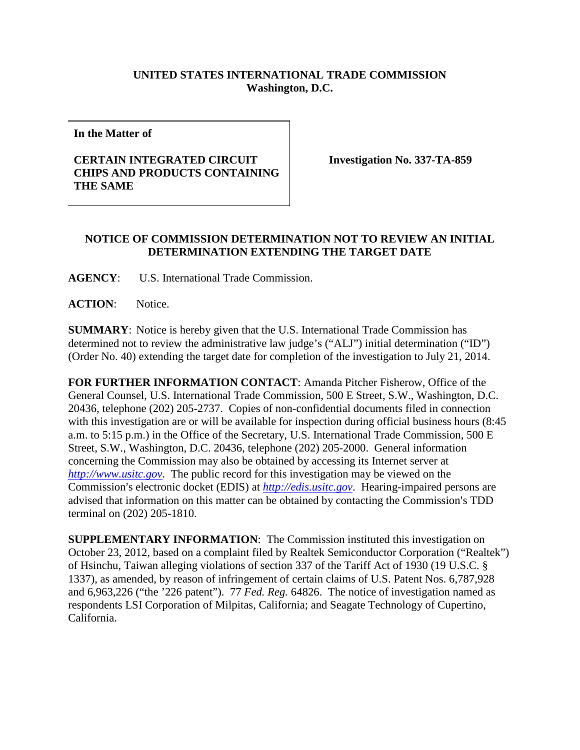## **UNITED STATES INTERNATIONAL TRADE COMMISSION Washington, D.C.**

**In the Matter of**

## **CERTAIN INTEGRATED CIRCUIT CHIPS AND PRODUCTS CONTAINING THE SAME**

**Investigation No. 337-TA-859**

## **NOTICE OF COMMISSION DETERMINATION NOT TO REVIEW AN INITIAL DETERMINATION EXTENDING THE TARGET DATE**

**AGENCY**: U.S. International Trade Commission.

**ACTION**: Notice.

**SUMMARY**: Notice is hereby given that the U.S. International Trade Commission has determined not to review the administrative law judge's ("ALJ") initial determination ("ID") (Order No. 40) extending the target date for completion of the investigation to July 21, 2014.

**FOR FURTHER INFORMATION CONTACT**: Amanda Pitcher Fisherow, Office of the General Counsel, U.S. International Trade Commission, 500 E Street, S.W., Washington, D.C. 20436, telephone (202) 205-2737. Copies of non-confidential documents filed in connection with this investigation are or will be available for inspection during official business hours (8:45 a.m. to 5:15 p.m.) in the Office of the Secretary, U.S. International Trade Commission, 500 E Street, S.W., Washington, D.C. 20436, telephone (202) 205-2000. General information concerning the Commission may also be obtained by accessing its Internet server at *[http://www.usitc.gov](http://www.usitc.gov/)*. The public record for this investigation may be viewed on the Commission's electronic docket (EDIS) at *[http://edis.usitc.gov](http://edis.usitc.gov/)*. Hearing-impaired persons are advised that information on this matter can be obtained by contacting the Commission's TDD terminal on (202) 205-1810.

**SUPPLEMENTARY INFORMATION**: The Commission instituted this investigation on October 23, 2012, based on a complaint filed by Realtek Semiconductor Corporation ("Realtek") of Hsinchu, Taiwan alleging violations of section 337 of the Tariff Act of 1930 (19 U.S.C. § 1337), as amended, by reason of infringement of certain claims of U.S. Patent Nos. 6,787,928 and 6,963,226 ("the '226 patent"). 77 *Fed. Reg.* 64826. The notice of investigation named as respondents LSI Corporation of Milpitas, California; and Seagate Technology of Cupertino, California.